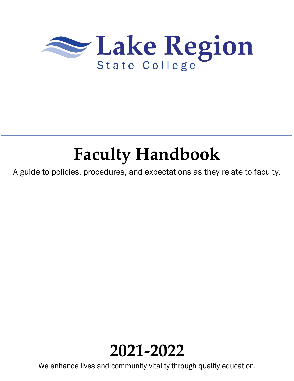

# **Faculty Handbook**

A guide to policies, procedures, and expectations as they relate to faculty.



We enhance lives and community vitality through quality education.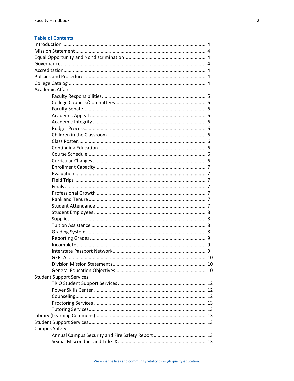# **Table of Contents**

| <b>Academic Affairs</b>         |  |
|---------------------------------|--|
|                                 |  |
|                                 |  |
|                                 |  |
|                                 |  |
|                                 |  |
|                                 |  |
|                                 |  |
|                                 |  |
|                                 |  |
|                                 |  |
|                                 |  |
|                                 |  |
|                                 |  |
|                                 |  |
|                                 |  |
|                                 |  |
|                                 |  |
|                                 |  |
|                                 |  |
|                                 |  |
|                                 |  |
|                                 |  |
|                                 |  |
|                                 |  |
|                                 |  |
| <b>GERTA</b>                    |  |
|                                 |  |
|                                 |  |
| <b>Student Support Services</b> |  |
|                                 |  |
|                                 |  |
|                                 |  |
|                                 |  |
|                                 |  |
|                                 |  |
|                                 |  |
| Campus Safety                   |  |
|                                 |  |
|                                 |  |
|                                 |  |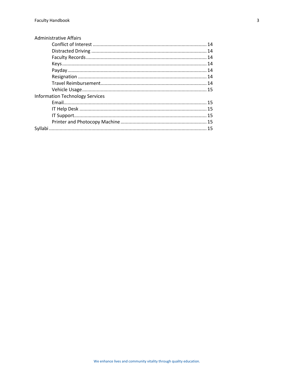| <b>Administrative Affairs</b>          |  |
|----------------------------------------|--|
|                                        |  |
|                                        |  |
|                                        |  |
|                                        |  |
|                                        |  |
|                                        |  |
|                                        |  |
|                                        |  |
| <b>Information Technology Services</b> |  |
|                                        |  |
|                                        |  |
|                                        |  |
|                                        |  |
|                                        |  |
|                                        |  |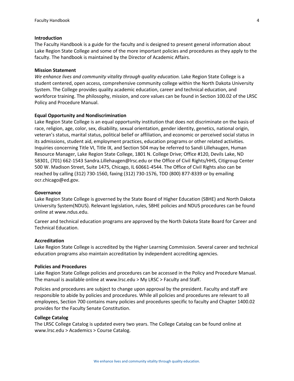#### **Introduction**

The Faculty Handbook is a guide for the faculty and is designed to present general information about Lake Region State College and some of the more important policies and procedures as they apply to the faculty. The handbook is maintained by the Director of Academic Affairs.

#### **Mission Statement**

*We enhance lives and community vitality through quality education.* Lake Region State College is a student centered, open access, comprehensive community college within the North Dakota University System. The College provides quality academic education, career and technical education, and workforce training. The philosophy, mission, and core values can be found in Section 100.02 of the LRSC Policy and Procedure Manual.

#### **Equal Opportunity and Nondiscrimination**

Lake Region State College is an equal opportunity institution that does not discriminate on the basis of race, religion, age, color, sex, disability, sexual orientation, gender identity, genetics, national origin, veteran's status, marital status, political belief or affiliation, and economic or perceived social status in its admissions, student aid, employment practices, education programs or other related activities. Inquiries concerning Title VI, Title IX, and Section 504 may be referred to Sandi Lillehaugen, Human Resource Manager, Lake Region State College, 1801 N. College Drive; Office #120, Devils Lake, ND 58301, (701) 662-1543 [Sandra.Lillehaugen@lrsc.edu](mailto:Sandra.Lillehaugen@lrsc.edu) or the Office of Civil Rights/HHS, Citigroup Center 500 W. Madison Street, Suite 1475, Chicago, IL 60661-4544. The Office of Civil Rights also can be reached by calling (312) 730-1560, faxing (312) 730-1576, TDD (800) 877-8339 or by emailing [ocr.chicago@ed.gov.](mailto:ocr.chicago@ed.gov)

#### **Governance**

Lake Region State College is governed by the State Board of Higher Education (SBHE) and North Dakota University System(NDUS). Relevant legislation, rules, SBHE policies and NDUS procedures can be found online at www.ndus.edu.

Career and technical education programs are approved by the North Dakota State Board for Career and Technical Education.

## **Accreditation**

Lake Region State College is accredited by the Higher Learning Commission. Several career and technical education programs also maintain accreditation by independent accrediting agencies.

## **Policies and Procedures**

Lake Region State College policies and procedures can be accessed in the Policy and Procedure Manual. The manual is available online at www.lrsc.edu > My LRSC > Faculty and Staff.

Policies and procedures are subject to change upon approval by the president. Faculty and staff are responsible to abide by policies and procedures. While all policies and procedures are relevant to all employees, Section 700 contains many policies and procedures specific to faculty and Chapter 1400.02 provides for the Faculty Senate Constitution.

## **College Catalog**

The LRSC College Catalog is updated every two years. The College Catalog can be found online at www.lrsc.edu > Academics > Course Catalog.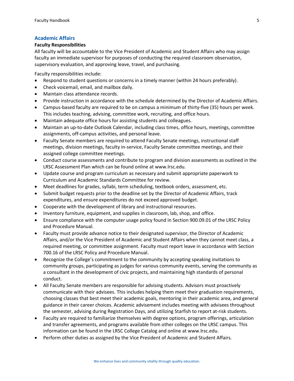# **Academic Affairs**

# **Faculty Responsibilities**

All faculty will be accountable to the Vice President of Academic and Student Affairs who may assign faculty an immediate supervisor for purposes of conducting the required classroom observation, supervisory evaluation, and approving leave, travel, and purchasing.

Faculty responsibilities include:

- Respond to student questions or concerns in a timely manner (within 24 hours preferably).
- Check voicemail, email, and mailbox daily.
- Maintain class attendance records.
- Provide instruction in accordance with the schedule determined by the Director of Academic Affairs.
- Campus-based faculty are required to be on campus a minimum of thirty-five (35) hours per week. This includes teaching, advising, committee work, recruiting, and office hours.
- Maintain adequate office hours for assisting students and colleagues.
- Maintain an up-to-date Outlook Calendar, including class times, office hours, meetings, committee assignments, off-campus activities, and personal leave.
- Faculty Senate members are required to attend Faculty Senate meetings, instructional staff meetings, division meetings, faculty in-service, Faculty Senate committee meetings, and their assigned college committee meetings.
- Conduct course assessments and contribute to program and division assessments as outlined in the LRSC Assessment Plan which can be found online at www.lrsc.edu.
- Update course and program curriculum as necessary and submit appropriate paperwork to Curriculum and Academic Standards Committee for review.
- Meet deadlines for grades, syllabi, term scheduling, textbook orders, assessment, etc.
- Submit budget requests prior to the deadline set by the Director of Academic Affairs, track expenditures, and ensure expenditures do not exceed approved budget.
- Cooperate with the development of library and instructional resources.
- Inventory furniture, equipment, and supplies in classroom, lab, shop, and office.
- Ensure compliance with the computer usage policy found in Section 900.09.01 of the LRSC Policy and Procedure Manual.
- Faculty must provide advance notice to their designated supervisor, the Director of Academic Affairs, and/or the Vice President of Academic and Student Affairs when they cannot meet class, a required meeting, or committee assignment. Faculty must report leave in accordance with Section 700.16 of the LRSC Policy and Procedure Manual.
- Recognize the College's commitment to the community by accepting speaking invitations to community groups, participating as judges for various community events, serving the community as a consultant in the development of civic projects, and maintaining high standards of personal conduct.
- All Faculty Senate members are responsible for advising students. Advisors must proactively communicate with their advisees. This includes helping them meet their graduation requirements, choosing classes that best meet their academic goals, mentoring in their academic area, and general guidance in their career choices. Academic advisement includes meeting with advisees throughout the semester, advising during Registration Days, and utilizing Starfish to report at-risk students.
- Faculty are required to familiarize themselves with degree options, program offerings, articulation and transfer agreements, and programs available from other colleges on the LRSC campus. This information can be found in the LRSC College Catalog and online at www.lrsc.edu.
- Perform other duties as assigned by the Vice President of Academic and Student Affairs.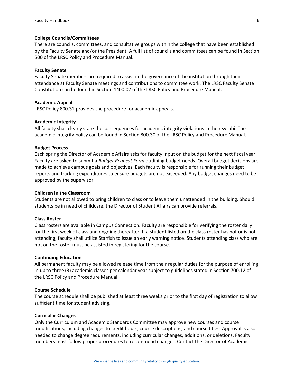#### **College Councils/Committees**

There are councils, committees, and consultative groups within the college that have been established by the Faculty Senate and/or the President. A full list of councils and committees can be found in Section 500 of the LRSC Policy and Procedure Manual.

#### **Faculty Senate**

Faculty Senate members are required to assist in the governance of the institution through their attendance at Faculty Senate meetings and contributions to committee work. The LRSC Faculty Senate Constitution can be found in Section 1400.02 of the LRSC Policy and Procedure Manual.

#### **Academic Appeal**

LRSC Policy 800.31 provides the procedure for academic appeals.

#### **Academic Integrity**

All faculty shall clearly state the consequences for academic integrity violations in their syllabi. The academic integrity policy can be found in Section 800.30 of the LRSC Policy and Procedure Manual.

## **Budget Process**

Each spring the Director of Academic Affairs asks for faculty input on the budget for the next fiscal year. Faculty are asked to submit a *Budget Request Form* outlining budget needs. Overall budget decisions are made to achieve campus goals and objectives. Each faculty is responsible for running their budget reports and tracking expenditures to ensure budgets are not exceeded. Any budget changes need to be approved by the supervisor.

## **Children in the Classroom**

Students are not allowed to bring children to class or to leave them unattended in the building. Should students be in need of childcare, the Director of Student Affairs can provide referrals.

## **Class Roster**

Class rosters are available in Campus Connection. Faculty are responsible for verifying the roster daily for the first week of class and ongoing thereafter. If a student listed on the class roster has not or is not attending, faculty shall utilize Starfish to issue an early warning notice. Students attending class who are not on the roster must be assisted in registering for the course.

#### **Continuing Education**

All permanent faculty may be allowed release time from their regular duties for the purpose of enrolling in up to three (3) academic classes per calendar year subject to guidelines stated in Section 700.12 of the LRSC Policy and Procedure Manual.

#### **Course Schedule**

The course schedule shall be published at least three weeks prior to the first day of registration to allow sufficient time for student advising.

#### **Curricular Changes**

Only the Curriculum and Academic Standards Committee may approve new courses and course modifications, including changes to credit hours, course descriptions, and course titles. Approval is also needed to change degree requirements, including curricular changes, additions, or deletions. Faculty members must follow proper procedures to recommend changes. Contact the Director of Academic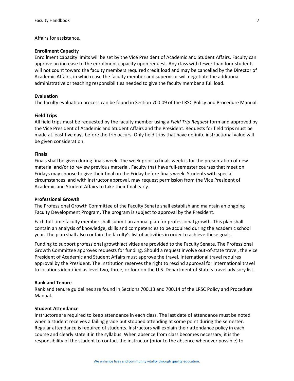Affairs for assistance.

## **Enrollment Capacity**

Enrollment capacity limits will be set by the Vice President of Academic and Student Affairs. Faculty can approve an increase to the enrollment capacity upon request. Any class with fewer than four students will not count toward the faculty members required credit load and may be cancelled by the Director of Academic Affairs, in which case the faculty member and supervisor will negotiate the additional administrative or teaching responsibilities needed to give the faculty member a full load.

## **Evaluation**

The faculty evaluation process can be found in Section 700.09 of the LRSC Policy and Procedure Manual.

#### **Field Trips**

All field trips must be requested by the faculty member using a *Field Trip Request* form and approved by the Vice President of Academic and Student Affairs and the President. Requests for field trips must be made at least five days before the trip occurs. Only field trips that have definite instructional value will be given consideration.

## **Finals**

Finals shall be given during finals week. The week prior to finals week is for the presentation of new material and/or to review previous material. Faculty that have full-semester courses that meet on Fridays may choose to give their final on the Friday before finals week. Students with special circumstances, and with instructor approval, may request permission from the Vice President of Academic and Student Affairs to take their final early.

#### **Professional Growth**

The Professional Growth Committee of the Faculty Senate shall establish and maintain an ongoing Faculty Development Program. The program is subject to approval by the President.

Each full-time faculty member shall submit an annual plan for professional growth. This plan shall contain an analysis of knowledge, skills and competencies to be acquired during the academic school year. The plan shall also contain the faculty's list of activities in order to achieve these goals.

Funding to support professional growth activities are provided to the Faculty Senate. The Professional Growth Committee approves requests for funding. Should a request involve out-of-state travel, the Vice President of Academic and Student Affairs must approve the travel. International travel requires approval by the President. The institution reserves the right to rescind approval for international travel to locations identified as level two, three, or four on the U.S. Department of State's travel advisory list.

## **Rank and Tenure**

Rank and tenure guidelines are found in Sections 700.13 and 700.14 of the LRSC Policy and Procedure Manual.

#### **Student Attendance**

Instructors are required to keep attendance in each class. The last date of attendance must be noted when a student receives a failing grade but stopped attending at some point during the semester. Regular attendance is required of students. Instructors will explain their attendance policy in each course and clearly state it in the syllabus. When absence from class becomes necessary, it is the responsibility of the student to contact the instructor (prior to the absence whenever possible) to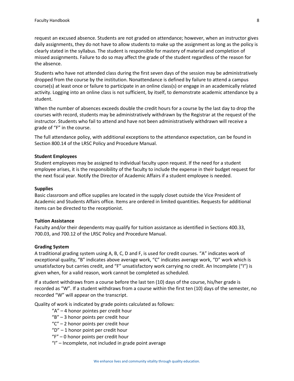request an excused absence. Students are not graded on attendance; however, when an instructor gives daily assignments, they do not have to allow students to make up the assignment as long as the policy is clearly stated in the syllabus. The student is responsible for mastery of material and completion of missed assignments. Failure to do so may affect the grade of the student regardless of the reason for the absence.

Students who have not attended class during the first seven days of the session may be administratively dropped from the course by the institution. Nonattendance is defined by failure to attend a campus course(s) at least once or failure to participate in an online class(s) or engage in an academically related activity. Logging into an online class is not sufficient, by itself, to demonstrate academic attendance by a student.

When the number of absences exceeds double the credit hours for a course by the last day to drop the courses with record, students may be administratively withdrawn by the Registrar at the request of the instructor. Students who fail to attend and have not been administratively withdrawn will receive a grade of "F" in the course.

The full attendance policy, with additional exceptions to the attendance expectation, can be found in Section 800.14 of the LRSC Policy and Procedure Manual.

## **Student Employees**

Student employees may be assigned to individual faculty upon request. If the need for a student employee arises, it is the responsibility of the faculty to include the expense in their budget request for the next fiscal year. Notify the Director of Academic Affairs if a student employee is needed.

## **Supplies**

Basic classroom and office supplies are located in the supply closet outside the Vice President of Academic and Students Affairs office. Items are ordered in limited quantities. Requests for additional items can be directed to the receptionist.

#### **Tuition Assistance**

Faculty and/or their dependents may qualify for tuition assistance as identified in Sections 400.33, 700.03, and 700.12 of the LRSC Policy and Procedure Manual.

#### **Grading System**

A traditional grading system using A, B, C, D and F, is used for credit courses. "A" indicates work of exceptional quality, "B" indicates above average work, "C" indicates average work, "D" work which is unsatisfactory but carries credit, and "F" unsatisfactory work carrying no credit. An Incomplete ("I") is given when, for a valid reason, work cannot be completed as scheduled.

If a student withdraws from a course before the last ten (10) days of the course, his/her grade is recorded as "W". If a student withdraws from a course within the first ten (10) days of the semester, no recorded "W" will appear on the transcript.

Quality of work is indicated by grade points calculated as follows:

- "A" 4 honor pointes per credit hour
- "B" 3 honor points per credit hour
- $C'' 2$  honor points per credit hour
- "D" 1 honor point per credit hour
- "F" 0 honor points per credit hour
- "I" Incomplete, not included in grade point average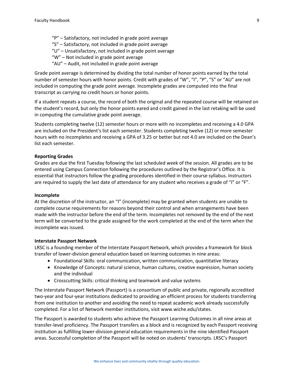"P" – Satisfactory, not included in grade point average "S" – Satisfactory, not included in grade point average "U" – Unsatisfactory, not included in grade point average "W" – Not included in grade point average "AU" – Audit, not included in grade point average

Grade point average is determined by dividing the total number of honor points earned by the total number of semester hours with honor points. Credit with grades of "W", "I", "P", "S" or "AU" are not included in computing the grade point average. Incomplete grades are computed into the final transcript as carrying no credit hours or honor points.

If a student repeats a course, the record of both the original and the repeated course will be retained on the student's record, but only the honor points eared and credit gained in the last retaking will be used in computing the cumulative grade point average.

Students completing twelve (12) semester hours or more with no incompletes and receiving a 4.0 GPA are included on the President's list each semester. Students completing twelve (12) or more semester hours with no incompletes and receiving a GPA of 3.25 or better but not 4.0 are included on the Dean's list each semester.

## **Reporting Grades**

Grades are due the first Tuesday following the last scheduled week of the session. All grades are to be entered using Campus Connection following the procedures outlined by the Registrar's Office. It is essential that instructors follow the grading procedures identified in their course syllabus. Instructors are required to supply the last date of attendance for any student who receives a grade of "I" or "F".

#### **Incomplete**

At the discretion of the instructor, an "I" (incomplete) may be granted when students are unable to complete course requirements for reasons beyond their control and when arrangements have been made with the instructor before the end of the term. Incompletes not removed by the end of the next term will be converted to the grade assigned for the work completed at the end of the term when the incomplete was issued.

#### **Interstate Passport Network**

LRSC is a founding member of the Interstate Passport Network, which provides a framework for block transfer of lower-division general education based on learning outcomes in nine areas:

- Foundational Skills: oral communication, written communication, quantitative literacy
- Knowledge of Concepts: natural science, human cultures, creative expression, human society and the individual
- Crosscutting Skills: critical thinking and teamwork and value systems

The Interstate Passport Network (Passport) is a consortium of public and private, regionally accredited two-year and four-year institutions dedicated to providing an efficient process for students transferring from one institution to another and avoiding the need to repeat academic work already successfully completed. For a list of Network member institutions, visit www.wiche.edu/states.

The Passport is awarded to students who achieve the Passport Learning Outcomes in all nine areas at transfer-level proficiency. The Passport transfers as a block and is recognized by each Passport receiving institution as fulfilling lower-division general education requirements in the nine identified Passport areas. Successful completion of the Passport will be noted on students' transcripts. LRSC's Passport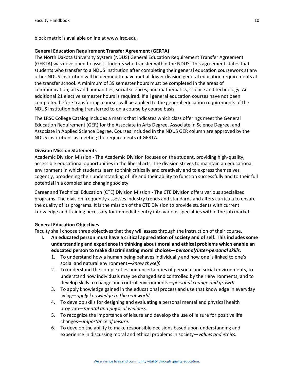block matrix is available online at www.lrsc.edu.

## **General Education Requirement Transfer Agreement (GERTA)**

The North Dakota University System (NDUS) General Education Requirement Transfer Agreement (GERTA) was developed to assist students who transfer within the NDUS. This agreement states that students who transfer to a NDUS institution after completing their general education coursework at any other NDUS institution will be deemed to have met all lower division general education requirements at the transfer school. A minimum of 39 semester hours must be completed in the areas of communication; arts and humanities; social sciences; and mathematics, science and technology. An additional 21 elective semester hours is required. If all general education courses have not been completed before transferring, courses will be applied to the general education requirements of the NDUS institution being transferred to on a course by course basis.

The LRSC College Catalog includes a matrix that indicates which class offerings meet the General Education Requirement (GER) for the Associate in Arts Degree, Associate in Science Degree, and Associate in Applied Science Degree. Courses included in the NDUS GER column are approved by the NDUS institutions as meeting the requirements of GERTA.

## **Division Mission Statements**

Academic Division Mission - The Academic Division focuses on the student, providing high-quality, accessible educational opportunities in the liberal arts. The division strives to maintain an educational environment in which students learn to think critically and creatively and to express themselves cogently, broadening their understanding of life and their ability to function successfully and to their full potential in a complex and changing society.

Career and Technical Education (CTE) Division Mission - The CTE Division offers various specialized programs. The division frequently assesses industry trends and standards and alters curricula to ensure the quality of its programs. It is the mission of the CTE Division to provide students with current knowledge and training necessary for immediate entry into various specialties within the job market.

## **General Education Objectives**

Faculty shall choose three objectives that they will assess through the instruction of their course.

- **I. An educated person must have a critical appreciation of society and of self. This includes some understanding and experience in thinking about moral and ethical problems which enable an educated person to make discriminating moral choices—***personal/inter-personal skills.*
	- 1. To understand how a human being behaves individually and how one is linked to one's social and natural environment—*know thyself.*
	- 2. To understand the complexities and uncertainties of personal and social environments, to understand how individuals may be changed and controlled by their environments, and to develop skills to change and control environments—*personal change and growth.*
	- 3. To apply knowledge gained in the educational process and use that knowledge in everyday living—*apply knowledge to the real world.*
	- 4. To develop skills for designing and evaluating a personal mental and physical health program—*mental and physical wellness.*
	- 5. To recognize the importance of leisure and develop the use of leisure for positive life changes—*importance of leisure.*
	- 6. To develop the ability to make responsible decisions based upon understanding and experience in discussing moral and ethical problems in society—*values and ethics.*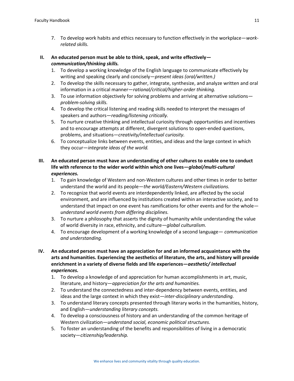7. To develop work habits and ethics necessary to function effectively in the workplace—*workrelated skills.*

# **II. An educated person must be able to think, speak, and write effectively** *communication/thinking skills.*

- 1. To develop a working knowledge of the English language to communicate effectively by writing and speaking clearly and concisely—*present ideas (oral/written.)*
- 2. To develop the skills necessary to gather, integrate, synthesize, and analyze written and oral information in a critical manner—*rational/critical/higher-order thinking.*
- 3. To use information objectively for solving problems and arriving at alternative solutions *problem-solving skills.*
- 4. To develop the critical listening and reading skills needed to interpret the messages of speakers and authors—*reading/listening critically.*
- 5. To nurture creative thinking and intellectual curiosity through opportunities and incentives and to encourage attempts at different, divergent solutions to open-ended questions, problems, and situations—*creativity/intellectual curiosity.*
- 6. To conceptualize links between events, entities, and ideas and the large context in which they occur—*integrate ideas of the world.*
- **III. An educated person must have an understanding of other cultures to enable one to conduct life with reference to the wider world within which one lives—***global/multi-cultural experiences.*
	- 1. To gain knowledge of Western and non-Western cultures and other times in order to better understand the world and its people—*the world/Eastern/Western civilizations.*
	- 2. To recognize that world events are interdependently linked, are affected by the social environment, and are influenced by institutions created within an interactive society, and to understand that impact on one event has ramifications for other events and for the whole *understand world events from differing disciplines.*
	- 3. To nurture a philosophy that asserts the dignity of humanity while understanding the value of world diversity in race, ethnicity, and culture—*global culturalism.*
	- 4. To encourage development of a working knowledge of a second language— *communication and understanding.*
- **IV. An educated person must have an appreciation for and an informed acquaintance with the arts and humanities. Experiencing the aesthetics of literature, the arts, and history will provide enrichment in a variety of diverse fields and life experiences—***aesthetic/ intellectual experiences.*
	- 1. To develop a knowledge of and appreciation for human accomplishments in art, music, literature, and history—*appreciation for the arts and humanities.*
	- 2. To understand the connectedness and inter-dependency between events, entities, and ideas and the large context in which they exist—*inter-disciplinary understanding.*
	- 3. To understand literary concepts presented through literary works in the humanities, history, and English—*understanding literary concepts.*
	- 4. To develop a consciousness of history and an understanding of the common heritage of Western civilization—*understand social, economic political structures.*
	- 5. To foster an understanding of the benefits and responsibilities of living in a democratic society—*citizenship/leadership.*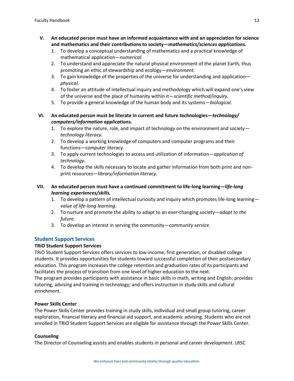- **V. An educated person must have an informed acquaintance with and an appreciation for science and mathematics and their contributions to society—***mathematics/sciences applications.*
	- 1. To develop a conceptual understanding of mathematics and a practical knowledge of mathematical application—*numerical.*
	- 2. To understand and appreciate the natural physical environment of the planet Earth, thus promoting an ethic of stewardship and ecology—*environment.*
	- 3. To gain knowledge of the properties of the universe for understanding and application *physical.*
	- 4. To foster an attitude of intellectual inquiry and methodology which will expand one's view of the universe and the place of humanity within it—*scientific method/inquiry.*
	- 5. To provide a general knowledge of the human body and its systems—*biological.*
- **VI. An educated person must be literate in current and future technologies—***technology/ computers/information applications.*
	- 1. To explore the nature, role, and impact of technology on the environment and society *technology literacy.*
	- 2. To develop a working knowledge of computers and computer programs and their functions—*computer literacy.*
	- 3. To apply current technologies to access and utilization of information—*application of technology.*
	- 4. To develop the skills necessary to locate and gather information from both print and nonprint resources—*library/information literacy.*

# **VII. An educated person must have a continued commitment to life-long learning—***life-long learning experiences/skills.*

- 1. To develop a pattern of intellectual curiosity and inquiry which promotes life-long learning *value of life-long learning.*
- 2. To nurture and promote the ability to adapt to an ever-changing society—*adapt to the future.*
- 3. To develop an interest in serving the community—*community service.*

# **Student Support Services**

# **TRiO Student Support Services**

TRiO Student Support Services offers services to low-income, first generation, or disabled college students. It provides opportunities for students toward successful completion of their postsecondary education. This program increases the college retention and graduation rates of its participants and facilitates the process of transition from one level of higher education to the next.

The program provides participants with assistance in basic skills in math, writing and English; provides tutoring, advising and training in technology; and offers instruction in study skills and cultural enrichment.

# **Power Skills Center**

The Power Skills Center provides training in study skills, individual and small group tutoring, career exploration, financial literacy and financial aid support, and academic advising. Students who are not enrolled in TRiO Student Support Services are eligible for assistance through the Power Skills Center.

# **Counseling**

The Director of Counseling assists and enables students in personal and career development. LRSC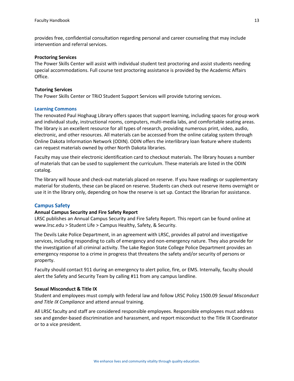provides free, confidential consultation regarding personal and career counseling that may include intervention and referral services.

#### **Proctoring Services**

The Power Skills Center will assist with individual student test proctoring and assist students needing special accommodations. Full course test proctoring assistance is provided by the Academic Affairs Office.

## **Tutoring Services**

The Power Skills Center or TRiO Student Support Services will provide tutoring services.

#### **Learning Commons**

The renovated Paul Hoghaug Library offers spaces that support learning, including spaces for group work and individual study, instructional rooms, computers, multi-media labs, and comfortable seating areas. The library is an excellent resource for all types of research, providing numerous print, video, audio, electronic, and other resources. All materials can be accessed from the online catalog system through Online Dakota Information Network (ODIN). ODIN offers the interlibrary loan feature where students can request materials owned by other North Dakota libraries.

Faculty may use their electronic identification card to checkout materials. The library houses a number of materials that can be used to supplement the curriculum. These materials are listed in the ODIN catalog.

The library will house and check-out materials placed on reserve. If you have readings or supplementary material for students, these can be placed on reserve. Students can check out reserve items overnight or use it in the library only, depending on how the reserve is set up. Contact the librarian for assistance.

## **Campus Safety**

## **Annual Campus Security and Fire Safety Report**

LRSC publishes an Annual Campus Security and Fire Safety Report. This report can be found online at www.lrsc.edu > Student Life > Campus Healthy, Safety, & Security.

The Devils Lake Police Department, in an agreement with LRSC, provides all patrol and investigative services, including responding to calls of emergency and non-emergency nature. They also provide for the investigation of all criminal activity. The Lake Region State College Police Department provides an emergency response to a crime in progress that threatens the safety and/or security of persons or property.

Faculty should contact 911 during an emergency to alert police, fire, or EMS. Internally, faculty should alert the Safety and Security Team by calling #11 from any campus landline.

## **Sexual Misconduct & Title IX**

Student and employees must comply with federal law and follow LRSC Policy 1500.09 *Sexual Misconduct and Title IX Compliance* and attend annual training.

All LRSC faculty and staff are considered responsible employees. Responsible employees must address sex and gender-based discrimination and harassment, and report misconduct to the Title IX Coordinator or to a vice president.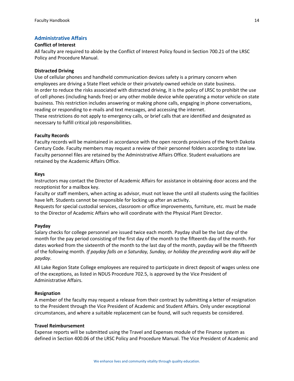# **Administrative Affairs**

# **Conflict of Interest**

All faculty are required to abide by the Conflict of Interest Policy found in Section 700.21 of the LRSC Policy and Procedure Manual.

# **Distracted Driving**

Use of cellular phones and handheld communication devices safety is a primary concern when employees are driving a State Fleet vehicle or their privately-owned vehicle on state business. In order to reduce the risks associated with distracted driving, it is the policy of LRSC to prohibit the use of cell phones (including hands free) or any other mobile device while operating a motor vehicle on state business. This restriction includes answering or making phone calls, engaging in phone conversations, reading or responding to e-mails and text messages, and accessing the internet. These restrictions do not apply to emergency calls, or brief calls that are identified and designated as necessary to fulfill critical job responsibilities.

# **Faculty Records**

Faculty records will be maintained in accordance with the open records provisions of the North Dakota Century Code. Faculty members may request a review of their personnel folders according to state law. Faculty personnel files are retained by the Administrative Affairs Office. Student evaluations are retained by the Academic Affairs Office.

# **Keys**

Instructors may contact the Director of Academic Affairs for assistance in obtaining door access and the receptionist for a mailbox key.

Faculty or staff members, when acting as advisor, must not leave the until all students using the facilities have left. Students cannot be responsible for locking up after an activity.

Requests for special custodial services, classroom or office improvements, furniture, etc. must be made to the Director of Academic Affairs who will coordinate with the Physical Plant Director.

## **Payday**

Salary checks for college personnel are issued twice each month. Payday shall be the last day of the month for the pay period consisting of the first day of the month to the fifteenth day of the month. For dates worked from the sixteenth of the month to the last day of the month, payday will be the fifteenth of the following month. *If payday falls on a Saturday, Sunday, or holiday the preceding work day will be payday*.

All Lake Region State College employees are required to participate in direct deposit of wages unless one of the exceptions, as listed in NDUS Procedure 702.5, is approved by the Vice President of Administrative Affairs.

## **Resignation**

A member of the faculty may request a release from their contract by submitting a letter of resignation to the President through the Vice President of Academic and Student Affairs. Only under exceptional circumstances, and where a suitable replacement can be found, will such requests be considered.

## **Travel Reimbursement**

Expense reports will be submitted using the Travel and Expenses module of the Finance system as defined in Section 400.06 of the LRSC Policy and Procedure Manual. The Vice President of Academic and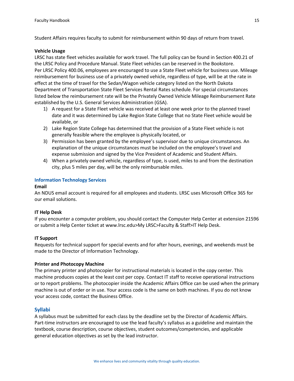Student Affairs requires faculty to submit for reimbursement within 90 days of return from travel.

## **Vehicle Usage**

LRSC has state fleet vehicles available for work travel. The full policy can be found in Section 400.21 of the LRSC Policy and Procedure Manual. State Fleet vehicles can be reserved in the Bookstore. Per LRSC Policy 400.06, employees are encouraged to use a State Fleet vehicle for business use. Mileage reimbursement for business use of a privately owned vehicle, regardless of type, will be at the rate in effect at the time of travel for the Sedan/Wagon vehicle category listed on the North Dakota Department of Transportation State Fleet Services Rental Rates schedule. For special circumstances listed below the reimbursement rate will be the Privately Owned Vehicle Mileage Reimbursement Rate established by the U.S. General Services Administration (GSA).

- 1) A request for a State Fleet vehicle was received at least one week prior to the planned travel date and it was determined by Lake Region State College that no State Fleet vehicle would be available, or
- 2) Lake Region State College has determined that the provision of a State Fleet vehicle is not generally feasible where the employee is physically located, or
- 3) Permission has been granted by the employee's supervisor due to unique circumstances. An explanation of the unique circumstances must be included on the employee's travel and expense submission and signed by the Vice President of Academic and Student Affairs.
- 4) When a privately owned vehicle, regardless of type, is used, miles to and from the destination city, plus 5 miles per day, will be the only reimbursable miles.

# **Information Technology Services**

## **Email**

An NDUS email account is required for all employees and students. LRSC uses Microsoft Office 365 for our email solutions.

## **IT Help Desk**

If you encounter a computer problem, you should contact the Computer Help Center at extension 21596 or submit a Help Center ticket at www.lrsc.edu>My LRSC>Faculty & Staff>IT Help Desk.

# **IT Support**

Requests for technical support for special events and for after hours, evenings, and weekends must be made to the Director of Information Technology.

## **Printer and Photocopy Machine**

The primary printer and photocopier for instructional materials is located in the copy center. This machine produces copies at the least cost per copy. Contact IT staff to receive operational instructions or to report problems. The photocopier inside the Academic Affairs Office can be used when the primary machine is out of order or in use. Your access code is the same on both machines. If you do not know your access code, contact the Business Office.

# **Syllabi**

A syllabus must be submitted for each class by the deadline set by the Director of Academic Affairs. Part-time instructors are encouraged to use the lead faculty's syllabus as a guideline and maintain the textbook, course description, course objectives, student outcomes/competencies, and applicable general education objectives as set by the lead instructor.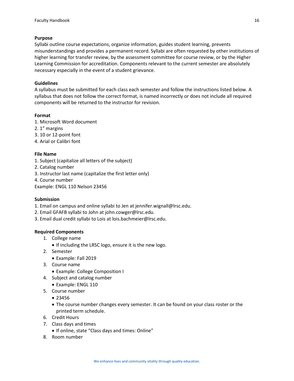# **Purpose**

Syllabi outline course expectations, organize information, guides student learning, prevents misunderstandings and provides a permanent record. Syllabi are often requested by other institutions of higher learning for transfer review, by the assessment committee for course review, or by the Higher Learning Commission for accreditation. Components relevant to the current semester are absolutely necessary especially in the event of a student grievance.

# **Guidelines**

A syllabus must be submitted for each class each semester and follow the instructions listed below. A syllabus that does not follow the correct format, is named incorrectly or does not include all required components will be returned to the instructor for revision.

# **Format**

- 1. Microsoft Word document
- 2. 1" margins
- 3. 10 or 12-point font
- 4. Arial or Calibri font

# **File Name**

- 1. Subject (capitalize all letters of the subject)
- 2. Catalog number
- 3. Instructor last name (capitalize the first letter only)
- 4. Course number

Example: ENGL 110 Nelson 23456

## **Submission**

- 1. Email on campus and online syllabi to Jen at jennifer.wignall@lrsc.edu.
- 2. Email GFAFB syllabi to John at [john.cowger@lrsc.edu.](mailto:john.cowger@lrsc.edu)
- 3. Email dual credit syllabi to Lois a[t lois.bachmeier@lrsc.edu.](mailto:lois.bachmeier@lrsc.edu)

## **Required Components**

- 1. College name
- If including the LRSC logo, ensure it is the new logo.
- 2. Semester
	- Example: Fall 2019
- 3. Course name
	- Example: College Composition I
- 4. Subject and catalog number
	- Example: ENGL 110
- 5. Course number
	- 23456
	- The course number changes every semester. It can be found on your class roster or the printed term schedule.
- 6. Credit Hours
- 7. Class days and times
	- If online, state "Class days and times: Online"
- 8. Room number